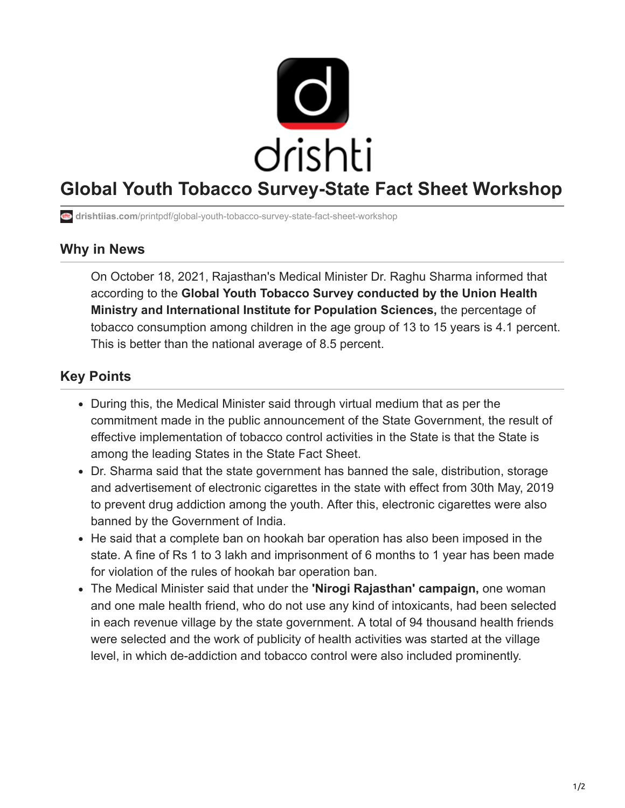

## **Global Youth Tobacco Survey-State Fact Sheet Workshop**

**drishtiias.com**[/printpdf/global-youth-tobacco-survey-state-fact-sheet-workshop](https://www.drishtiias.com/printpdf/global-youth-tobacco-survey-state-fact-sheet-workshop)

## **Why in News**

On October 18, 2021, Rajasthan's Medical Minister Dr. Raghu Sharma informed that according to the **Global Youth Tobacco Survey conducted by the Union Health Ministry and International Institute for Population Sciences,** the percentage of tobacco consumption among children in the age group of 13 to 15 years is 4.1 percent. This is better than the national average of 8.5 percent.

## **Key Points**

- During this, the Medical Minister said through virtual medium that as per the commitment made in the public announcement of the State Government, the result of effective implementation of tobacco control activities in the State is that the State is among the leading States in the State Fact Sheet.
- Dr. Sharma said that the state government has banned the sale, distribution, storage and advertisement of electronic cigarettes in the state with effect from 30th May, 2019 to prevent drug addiction among the youth. After this, electronic cigarettes were also banned by the Government of India.
- He said that a complete ban on hookah bar operation has also been imposed in the state. A fine of Rs 1 to 3 lakh and imprisonment of 6 months to 1 year has been made for violation of the rules of hookah bar operation ban.
- The Medical Minister said that under the **'Nirogi Rajasthan' campaign,** one woman and one male health friend, who do not use any kind of intoxicants, had been selected in each revenue village by the state government. A total of 94 thousand health friends were selected and the work of publicity of health activities was started at the village level, in which de-addiction and tobacco control were also included prominently.